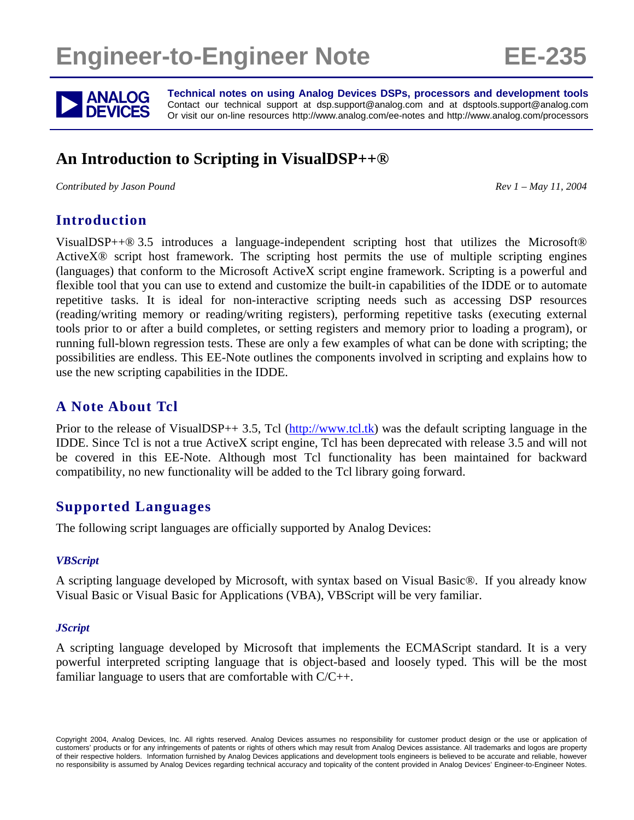# **Engineer-to-Engineer Note EE-235**



**ANALOG** Technical notes on using Analog Devices DSPs, processors and development tools<br> **DEVICES** Or visit our on-line resources http://www.analog.com/ee-notes and http://www.analog.com/processors Contact our technical support at dsp.support@analog.com and at dsptools.support@analog.com Or visit our on-line resources http://www.analog.com/ee-notes and http://www.analog.com/processors

# **An Introduction to Scripting in VisualDSP++®**

*Contributed by Jason Pound Rev 1 – May 11, 2004* 

#### **Introduction**

VisualDSP++® 3.5 introduces a language-independent scripting host that utilizes the Microsoft® ActiveX® script host framework. The scripting host permits the use of multiple scripting engines (languages) that conform to the Microsoft ActiveX script engine framework. Scripting is a powerful and flexible tool that you can use to extend and customize the built-in capabilities of the IDDE or to automate repetitive tasks. It is ideal for non-interactive scripting needs such as accessing DSP resources (reading/writing memory or reading/writing registers), performing repetitive tasks (executing external tools prior to or after a build completes, or setting registers and memory prior to loading a program), or running full-blown regression tests. These are only a few examples of what can be done with scripting; the possibilities are endless. This EE-Note outlines the components involved in scripting and explains how to use the new scripting capabilities in the IDDE.

#### **A Note About Tcl**

Prior to the release of VisualDSP++ 3.5, Tcl ( $\frac{http://www.tcl.tk)}{http://www.tcl.tk)}$  was the default scripting language in the IDDE. Since Tcl is not a true ActiveX script engine, Tcl has been deprecated with release 3.5 and will not be covered in this EE-Note. Although most Tcl functionality has been maintained for backward compatibility, no new functionality will be added to the Tcl library going forward.

#### **Supported Languages**

The following script languages are officially supported by Analog Devices:

#### *VBScript*

A scripting language developed by Microsoft, with syntax based on Visual Basic®. If you already know Visual Basic or Visual Basic for Applications (VBA), VBScript will be very familiar.

#### *JScript*

A scripting language developed by Microsoft that implements the ECMAScript standard. It is a very powerful interpreted scripting language that is object-based and loosely typed. This will be the most familiar language to users that are comfortable with C/C++.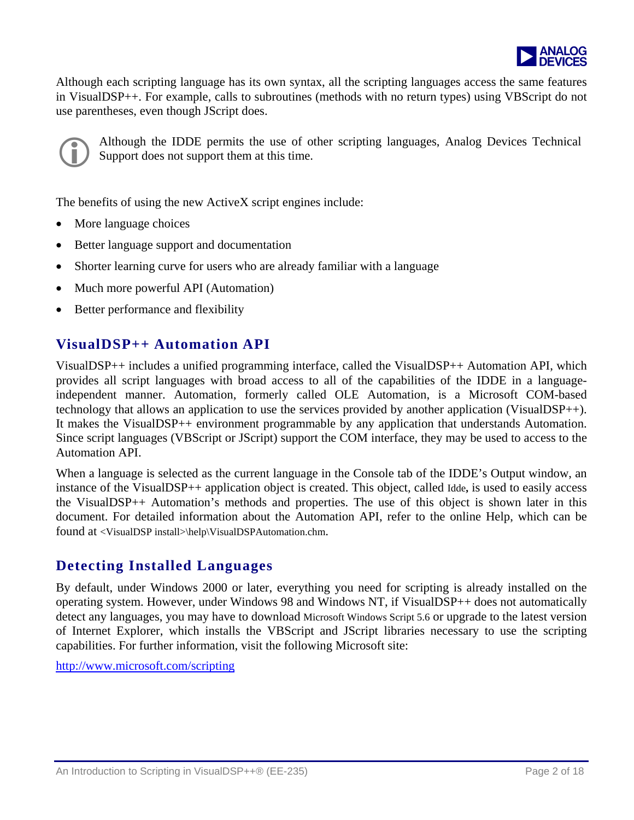

Although each scripting language has its own syntax, a ll the scripting languages access the sam e features in VisualDSP++. For example, calls to subroutines (methods with no return types) using VBScript do not use parentheses, even though JScript does.



!Although the IDDE permits the use of other scripting languages, Analog Devices Technical Support does not support them at this time.

The benefits of using the new ActiveX script engines include:

- More language choices
- Better language support and documentation
- Shorter learning curve for users who are already familiar with a language
- Much more powerful API (Automation)
- Better performance and flexibility

#### **VisualDSP++ Automation API**

VisualDSP++ includes a unified programming interface, called the VisualDSP++ Automation API, which provides all script languages with broad access to all of the capabilities of the IDDE in a languageindependent manner. Automation, formerly called OLE Automation, is a Microsoft COM-based technology that allows an application to use the services provided by another application (VisualDSP++). It makes the VisualDSP++ environment programmable by any application that understands Automation. Since script languages (VBScript or JScript) support the COM interface, they may be used to access to the Automation API.

When a language is selected as the current language in the Console tab of the IDDE's Output window, an instance of the VisualDSP++ application object is created. This object, called Idde**,** is used to easily access the VisualDSP++ Automation's methods and properties. The use of this object is shown later in this document. For detailed information about the Automation API, refer to the online Help, which can be found at <VisualDSP install>\help\VisualDSPAutomation.chm.

#### **Detecting Installed Languages**

By default, under Windows 2000 or later, everything you need for scripting is already installed on the operating system. However, under Windows 98 and Windows NT, if VisualDSP++ does not automatically detect any languages, you may have to download Microsoft Windows Script 5.6 or upgrade to the latest version of Internet Explorer, which installs the VBScript and JScript libraries necessary to use the scripting capabilities. For further information, visit the following Microsoft site:

<http://www.microsoft.com/scripting>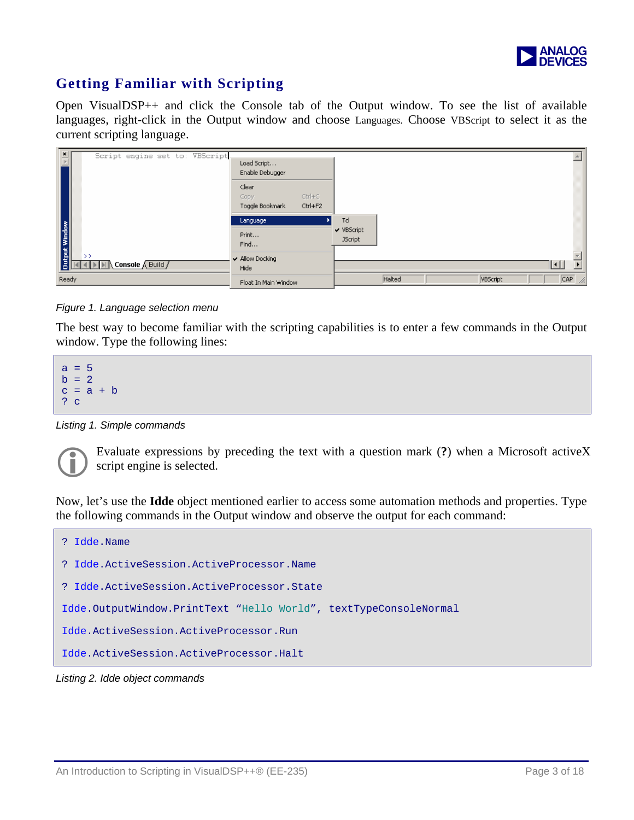

## **Getting Familiar with Scripting**

Open VisualDSP++ and click the Console tab of the Output window. To see the list of available languages, right-click in the Output window and choose Languages. Choose VBScript to select it as the current scripting language.



*Figure 1. Language selection menu* 

The best way to become familiar with the scripting capabilities is to enter a few commands in the Output window. Type the following lines:



*Listing 1. Simple commands* 

!Evaluate expressions by preceding the text with a question mark (**?**) when a Microsoft activeX script engine is selected.

Now, let's use the **Idde** object mentioned earlier to access some automation methods and properties. Type the following commands in the Output window and observe the output for each command:



*Listing 2. Idde object commands*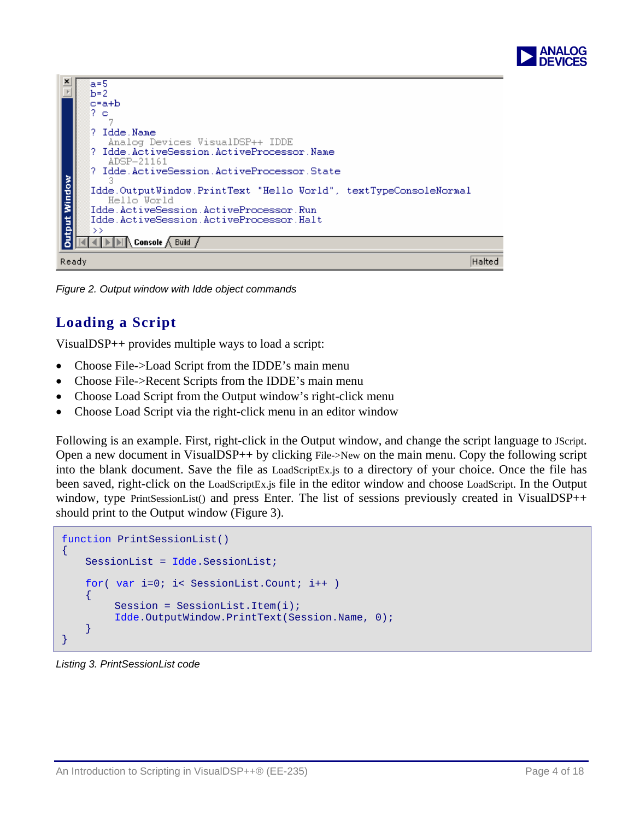

|             | $a=5$                                                             |
|-------------|-------------------------------------------------------------------|
|             | $h=2$                                                             |
|             | c=a+b                                                             |
|             | 2 o                                                               |
|             |                                                                   |
|             | ? Idde Name                                                       |
|             | Analog Devices VisualDSP++ IDDE                                   |
|             | ? Idde.ActiveSession.ActiveProcessor.Name                         |
|             | ADSP-21161                                                        |
|             | ? Idde.ActiveSession.ActiveProcessor.State                        |
|             |                                                                   |
| tput Window | [Idde.OutputWindow.PrintText "Hello World", textTypeConsoleNormal |
|             | Hello World                                                       |
|             | Idde.ActiveSession.ActiveProcessor.Run                            |
|             | Idde ActiveSession ActiveProcessor Halt                           |
|             | $\rightarrow$                                                     |
|             | <b>IDIA</b> Console A Build                                       |
| Ready       | Halted                                                            |
|             |                                                                   |

*Figure 2. Output window with Idde object commands* 

# **Loading a Script**

VisualDSP++ provides multiple ways to load a script:

- Choose File->Load Script from the IDDE's main menu
- Choose File->Recent Scripts from the IDDE's main menu
- Choose Load Script from the Output window's right-click menu
- Choose Load Script via the right-click menu in an editor window

Following is an example. First, right-click in the Output window, and change the script language to JScript. Open a new document in VisualDSP++ by clicking File->New on the main menu. Copy the following script into the blank document. Save the file as LoadScriptEx.js to a directory of your choice. Once the file has been saved, right-click on the LoadScriptEx.js file in the editor window and choose LoadScript. In the Output window, type PrintSessionList() and press Enter. The list of sessions previously created in VisualDSP++ should print to the Output window (Figure 3).

```
function PrintSessionList() 
{ 
     SessionList = Idde.SessionList; 
    for( var i=0; i< SessionList.Count; i++ ) 
     { 
         Session = SessionList.Item(i);
          Idde.OutputWindow.PrintText(Session.Name, 0); 
     } 
}
```
*Listing 3. PrintSessionList code*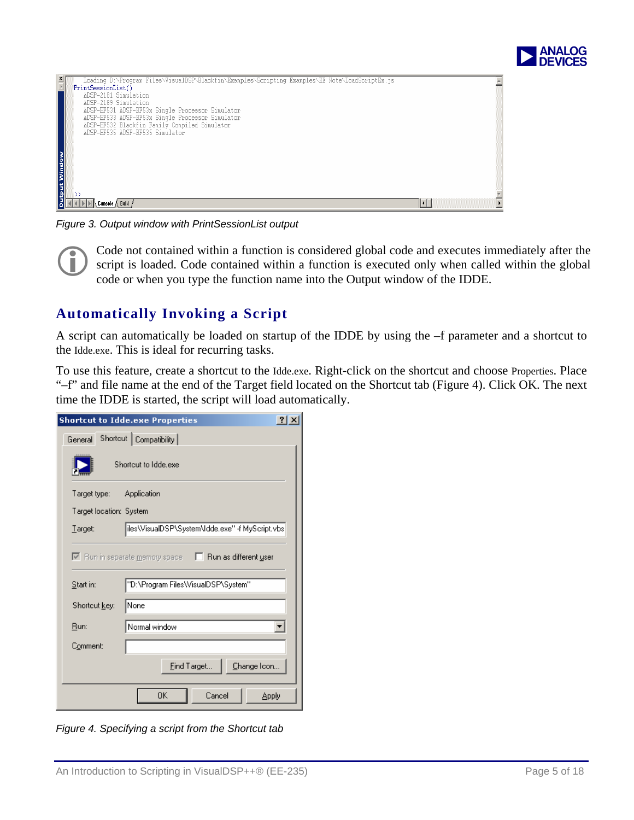

| x<br>Loading D:\Program Files\VisualDSP\Blackfin\Examples\Scripting Examples\EE Note\LoadScriptEx.js |  |
|------------------------------------------------------------------------------------------------------|--|
| PrintSessionList()                                                                                   |  |
| ADSP-2181 Simulation                                                                                 |  |
| ADSP-2189 Simulation                                                                                 |  |
| ADSP-BF531 ADSP-BF53x Single Processor Simulator                                                     |  |
| ADSP-BF533 ADSP-BF53x Single Processor Simulator                                                     |  |
| ADSP-BF532 Blackfin Family Compiled Simulator                                                        |  |
| ADSP-BF535 ADSP-BF535 Simulator                                                                      |  |
|                                                                                                      |  |
|                                                                                                      |  |
|                                                                                                      |  |
|                                                                                                      |  |
|                                                                                                      |  |
| Window                                                                                               |  |
|                                                                                                      |  |
| Ë                                                                                                    |  |
|                                                                                                      |  |
| <b>Console ∧ Build</b>                                                                               |  |

*Figure 3. Output window with PrintSessionList output* 

!Code not contained within a function is considered global code and executes immediately after the script is loaded. Code contained within a function is executed only when called within the global code or when you type the function name into the Output window of the IDDE.

#### **Automatically Invoking a Script**

A script can automatically be loaded on startup of the IDDE by using the –f parameter and a shortcut to the Idde.exe. This is ideal for recurring tasks.

To use this feature, create a shortcut to the Idde.exe. Right-click on the shortcut and choose Properties. Place "–f" and file name at the end of the Target field located on the Shortcut tab (Figure 4). Click OK. The next time the IDDE is started, the script will load automatically.

| <b>Shortcut to Idde.exe Properties</b><br><b>?IX</b>               |  |  |  |  |  |  |
|--------------------------------------------------------------------|--|--|--|--|--|--|
| Shortcut   Compatibility  <br>General                              |  |  |  |  |  |  |
| Shortcut to Idde.exe                                               |  |  |  |  |  |  |
| Target type:<br>Application                                        |  |  |  |  |  |  |
| Target location: System                                            |  |  |  |  |  |  |
| iles\VisualDSP\System\Idde.exe'' -f MyScript.vbs<br>Larget:        |  |  |  |  |  |  |
| $\nabla$ Run in separate memory space $\Box$ Run as different user |  |  |  |  |  |  |
| "D:\Program Files\VisualDSP\System"<br>Start in:                   |  |  |  |  |  |  |
| None<br>Shortcut key:                                              |  |  |  |  |  |  |
| Normal window<br>Run:                                              |  |  |  |  |  |  |
| Comment:                                                           |  |  |  |  |  |  |
| Change Icon<br>Eind Target                                         |  |  |  |  |  |  |
| ΟK<br>Cancel<br><b>Apply</b>                                       |  |  |  |  |  |  |

*Figure 4. Specifying a script from the Shortcut tab*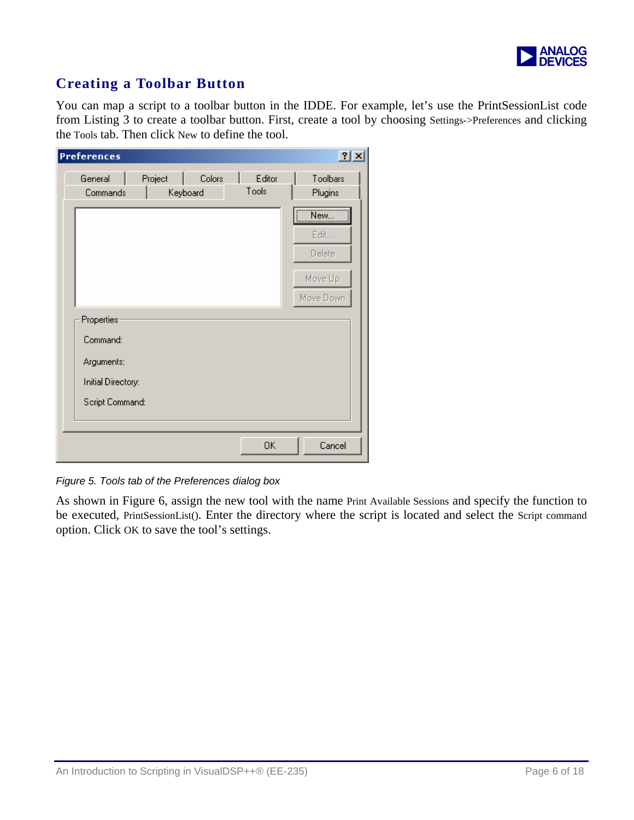

## **Creating a Toolbar Button**

You can map a script to a toolbar button in the IDDE. For example, let's use the PrintSessionList code from Listing 3 to create a toolbar button. First, create a tool by choosing Settings->Preferences and clicking the Tools tab. Then click New to define the tool.

| $ ?  \times$<br><b>Preferences</b>                                            |                               |                 |                                               |  |  |
|-------------------------------------------------------------------------------|-------------------------------|-----------------|-----------------------------------------------|--|--|
| General<br>Commands                                                           | Project<br>Colors<br>Keyboard | Editor<br>Tools | Toolbars<br>Plugins                           |  |  |
|                                                                               |                               |                 | New<br>Edit<br>Delete<br>Move Up<br>Move Down |  |  |
| Properties<br>Command:<br>Arguments:<br>Initial Directory:<br>Script Command: |                               |                 |                                               |  |  |
|                                                                               |                               | 0K              | Cancel                                        |  |  |

*Figure 5. Tools tab of the Preferences dialog box* 

As shown in Figure 6, assign the new tool with the name Print Available Sessions and specify the function to be executed, PrintSessionList(). Enter the directory where the script is located and select the Script command option. Click OK to save the tool's settings.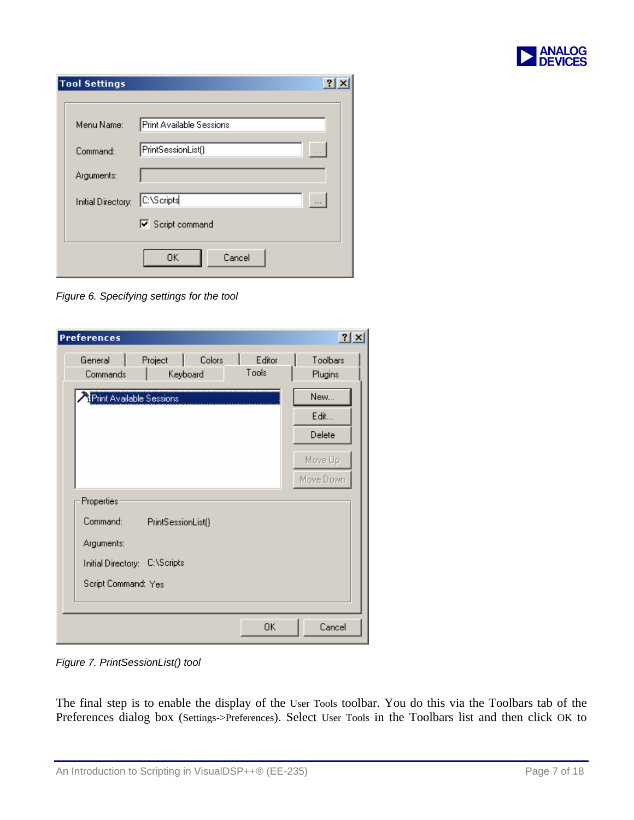

| <b>Tool Settings</b> | ?                        |
|----------------------|--------------------------|
| Menu Name:           | Print Available Sessions |
| Command:             | PrintSessionList()       |
| Arguments:           |                          |
| Initial Directory:   | C:\Scripts<br>$\cdots$   |
|                      | <b>▽</b> Script command  |
|                      | Cancel<br>0K             |

*Figure 6. Specifying settings for the tool* 

| <b>Preferences</b>            |                     |        |                 | 2x                  |
|-------------------------------|---------------------|--------|-----------------|---------------------|
| General<br>Commands           | Project<br>Keyboard | Colors | Editor<br>Tools | Toolbars<br>Plugins |
| Print Available Sessions      |                     |        |                 | New                 |
|                               |                     |        |                 | Edit                |
|                               |                     |        |                 | Delete              |
|                               |                     |        |                 | Move Up             |
|                               |                     |        |                 | Move Down           |
| Properties                    |                     |        |                 |                     |
| Command:                      | PrintSessionList()  |        |                 |                     |
| Arguments:                    |                     |        |                 |                     |
| Initial Directory: C:\Scripts |                     |        |                 |                     |
| Script Command: Yes           |                     |        |                 |                     |
|                               |                     |        |                 |                     |
|                               |                     |        | 0K              | Cancel              |

*Figure 7. PrintSessionList() tool* 

The final step is to enable the display of the User Tools toolbar. You do this via the Toolbars tab of the Preferences dialog box (Settings->Preferences). Select User Tools in the Toolbars list and then click OK to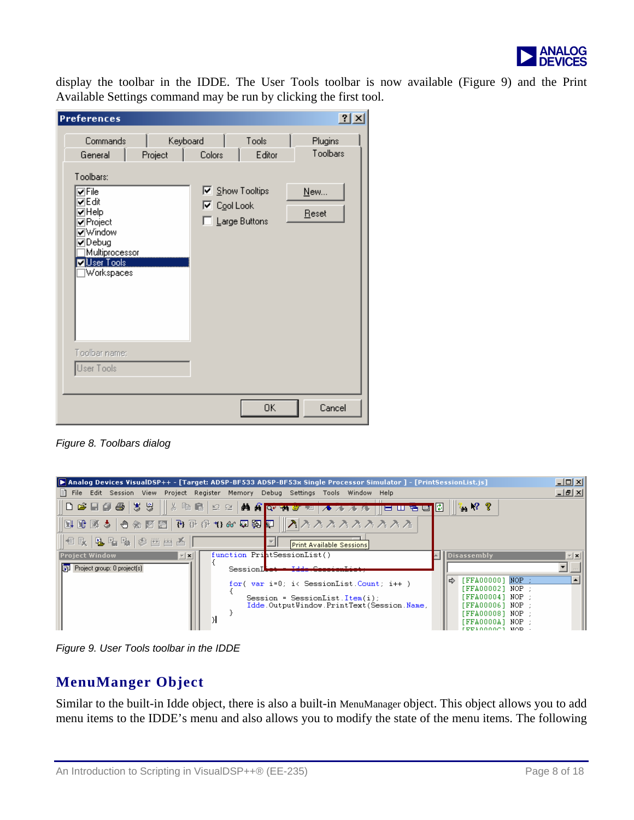

display the toolbar in the IDDE. The User Tools t oolbar is now available (Figure 9) and the Print Available Settings command may be run by clicking the first tool.

| <b>Preferences</b>                                                                                            |         |                                      |                                         | 2x                  |
|---------------------------------------------------------------------------------------------------------------|---------|--------------------------------------|-----------------------------------------|---------------------|
| Commands<br>General<br>Toolbars:                                                                              | Project | Keyboard<br>Colors                   | Tools<br>Editor                         | Plugins<br>Toolbars |
| VFile<br>⊽Edit<br>$\Box$ Help<br>☑Project<br>√Window<br>☑Debug<br>Multiprocessor<br>Ø∐ser Tools<br>Workspaces |         | $\overline{\triangledown}$ Cool Look | <b>▽</b> Show Tooltips<br>Large Buttons | New<br>Reset        |
| Toolbar name:<br>User Tools                                                                                   |         |                                      |                                         |                     |
|                                                                                                               |         |                                      | <b>OK</b>                               | Cancel              |

*Figure 8. Toolbars dialog* 

|                                                    | <b>D</b> Analog Devices VisualDSP++ - [Target: ADSP-BF533 ADSP-BF53x Single Processor Simulator ] - [PrintSessionList.js]     |                                                                                                                                           | <u>니미지</u>       |
|----------------------------------------------------|-------------------------------------------------------------------------------------------------------------------------------|-------------------------------------------------------------------------------------------------------------------------------------------|------------------|
|                                                    | 目 File Edit Session View Project Register Memory Debug Settings Tools Window Help                                             |                                                                                                                                           | <u>니라지</u>       |
|                                                    | ◘ ఆ ⊞ @ @   ₹ ₩     ٪ ₠ Q   12 ≥   ₩ ₩ <mark>Q+ ₩ ₩ ™   7 *</mark><br>E U E E I                                               | $\mathbb{Z}_2$ $\mathbb{N}$ ?                                                                                                             |                  |
|                                                    |                                                                                                                               |                                                                                                                                           |                  |
| 18. B. B. Da (3) 20 21 22 22 23 24                 | <b>Print Available Sessions</b>                                                                                               |                                                                                                                                           |                  |
| <b>Project Window</b><br>$\mathbf{r}$ $\mathbf{x}$ | function PrintSessionList()                                                                                                   | Disassembly                                                                                                                               | $  \mathbf{x}  $ |
| <b>Fig.</b> Project group: 0 project(s)            | SessionI <del>let - Idd</del>                                                                                                 |                                                                                                                                           |                  |
|                                                    | for( var i=0; i< SessionList.Count; i++ )<br>Session = SessionList.Item(i);<br>Idde.OutputWindow.PrintText(Session.Name,<br>Я | $[FFA00000]$ NOP :<br>[FFA00002] NOP :<br>[FFA00004] NOP :<br>[FFA00006] NOP :<br>FFFA000081 NOP :<br>[FFA0000A] NOP :<br>י סמא וממממגסםו |                  |

*Figure 9. User Tools toolbar in the IDDE* 

## **MenuManger Object**

Similar to the built-in Idde object, there is also a built-in MenuManager object. This object allows you to add menu items to the IDDE's menu and also allows you to modify the state of the menu items. The following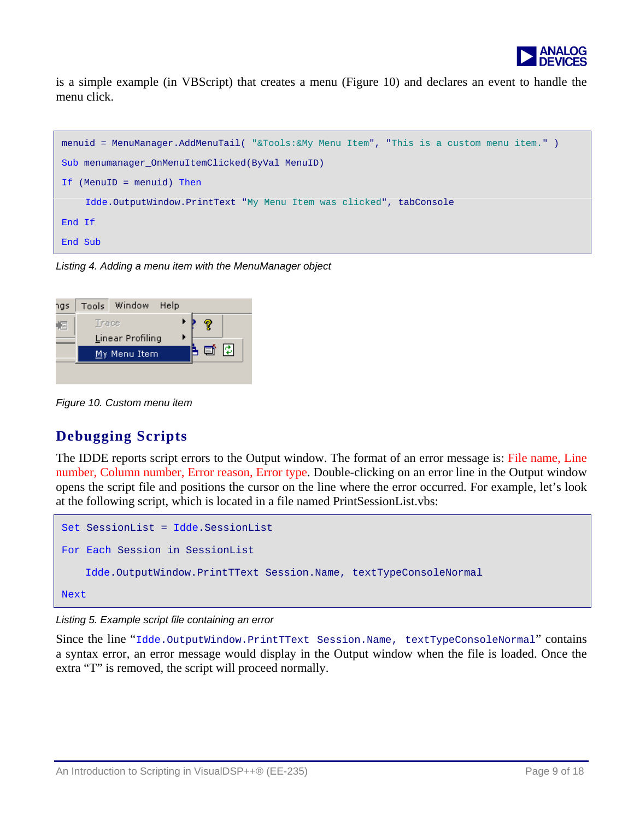

is a sim ple example (in VBScript) that creates a m enu (Figure 10) and declares an event to handle the menu click.



*Listing 4. Adding a menu item with the MenuManager object* 

| ngs | Tools | Window              | Help |     |  |
|-----|-------|---------------------|------|-----|--|
| 呂   | Trace |                     |      | 7   |  |
|     |       | Linear Profiling    |      |     |  |
|     |       | <u>My Menu Item</u> |      | 重 閉 |  |
|     |       |                     |      |     |  |
|     |       |                     |      |     |  |

*Figure 10. Custom menu item*

#### **Debugging Scripts**

The IDDE reports script errors to the Output window. The format of an error message is: File name, Line number, Column number, Error reason, Error type. Double-clicking on an error line in the Output window opens the script file and positions the cursor on the line where the error occurred. For example, let's look at the following script, which is located in a file named PrintSessionList.vbs:

```
Set SessionList = Idde.SessionList 
For Each Session in SessionList 
     Idde.OutputWindow.PrintTText Session.Name, textTypeConsoleNormal 
Next
```
*Listing 5. Example script file containing an error* 

Since the line "Idde.OutputWindow.PrintTText Session.Name, textTypeConsoleNormal" contains a syntax error, an error message would display in the Output window when the file is loaded. Once the extra "T" is removed, the script will proceed normally.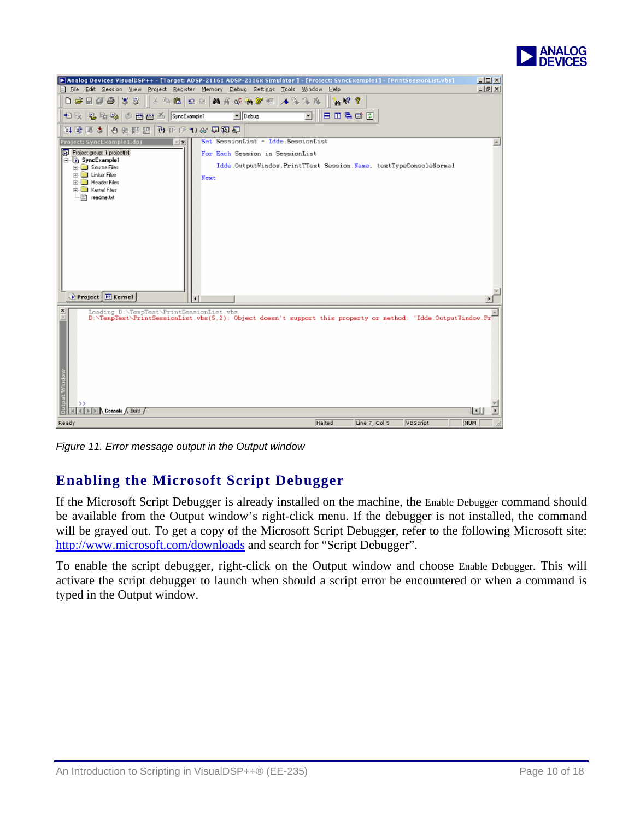

| > Analog Devices VisualDSP++ - [Target: ADSP-21161 ADSP-2116x Simulator ] - [Project: SyncExample1] - [PrintSessionList.vbs]<br>모미지                      |
|----------------------------------------------------------------------------------------------------------------------------------------------------------|
| File Edit Session View Project Register Memory Debug Settings Tools Window<br>$-18$ $\times$<br>Help                                                     |
| <b>DEEASS</b><br>   人物临  虫虫  黄青蜂乳蛋粒  不为为克<br>高原星                                                                                                         |
| Emaco<br>$\blacksquare$ Debug<br>鬼哈哈 参田出画 SyncExample1<br>▼<br>相談」                                                                                       |
| 山野政学  中が12回  野外小村大会面質                                                                                                                                    |
| Set SessionList = Idde SessionList<br>Project: SyncExample1.dpj<br>$\tau$   $\times$                                                                     |
| <b>Bill</b> Project group: 1 project(s)<br>For Each Session in SessionList                                                                               |
| SyncExample1<br>Idde.OutputWindow.PrintTText Session.Name, textTypeConsoleNormal                                                                         |
| <b>E-</b> Source Files<br>E-Linker Files<br>Next                                                                                                         |
| <b>E. Header Files</b>                                                                                                                                   |
| Fi-Call Kernel Files<br>- <sup>2</sup> readme.bt                                                                                                         |
|                                                                                                                                                          |
|                                                                                                                                                          |
|                                                                                                                                                          |
|                                                                                                                                                          |
|                                                                                                                                                          |
|                                                                                                                                                          |
|                                                                                                                                                          |
|                                                                                                                                                          |
| Project E Kernel<br>$\blacktriangleleft$                                                                                                                 |
|                                                                                                                                                          |
| Loading D:\TenpTest\PrintSessionList.vbs<br>D:\TempTest\PrintSessionList.vbs(5,2): Object doesn't support this property or nethod: 'Idde.OutputUindow.Pr |
|                                                                                                                                                          |
|                                                                                                                                                          |
|                                                                                                                                                          |
|                                                                                                                                                          |
|                                                                                                                                                          |
|                                                                                                                                                          |
|                                                                                                                                                          |
| <b>Dutput Window</b><br>$\rightarrow$                                                                                                                    |
| $\triangleright \triangleright \square \setminus$ Console $\wedge$ Build /<br>11 - 11<br>NUM  <br>Ready<br>Halted<br>Line 7, Col 5<br><b>VBScript</b>    |

*Figure 11. Error message output in the Output window* 

# **Enabling the Microsoft Script Debugger**

If the Microsoft Script Debugger is already installed on the machine, the Enable Debugger command should be available from the Output window's right-click menu. If the debugger is not installed, the command will be grayed out. To get a copy of the Microsoft Script Debugger, refer to the following Microsoft site: <http://www.microsoft.com/downloads>and search for "Script Debugger".

To enable the script debugger, right-click on the Output window and choose Enable Debugger. This will activate the script debugger to launch when should a script error be encountered or when a command is typed in the Output window.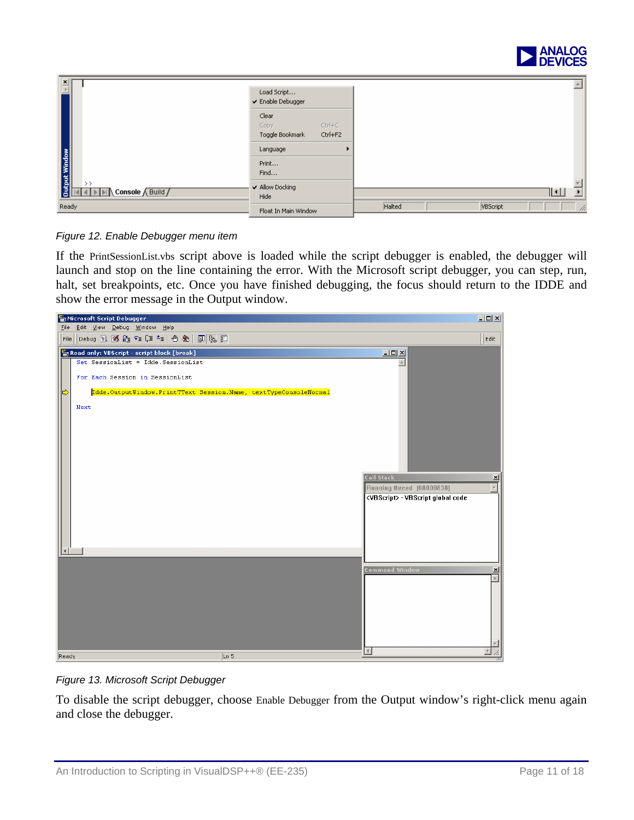

| $\frac{\mathbf{x}}{\ \mathbf{x}\ }$                 | Load Script<br>✔ Enable Debugger                        |                              |
|-----------------------------------------------------|---------------------------------------------------------|------------------------------|
|                                                     | Clear<br>$Ctr +C$<br>Copy<br>Ctrl+F2<br>Toggle Bookmark |                              |
|                                                     | Language                                                |                              |
| <b>Output Window</b>                                | Print<br>Find                                           |                              |
| $\rightarrow$<br><b>DIA</b> Console <i>(Build /</i> | ✔ Allow Docking<br>Hide                                 | ∐⊒∐<br>$\blacktriangleright$ |
| Ready<br>Float In Main Window                       |                                                         | Halted<br>VBScript<br>n.     |

*Figure 12. Enable Debugger menu item*

If the PrintSessionList.vbs script above is loaded while the script debugger is enabled, the debugger will launch and stop on the line containing the error. With the Microsoft script debugger, you can step, run, halt, set breakpoints, etc. Once you have finished debugging, the focus should return to the IDDE and show the error message in the Output window.



*Figure 13. Microsoft Script Debugger* 

To disable the script debugger, choose Enable Debugger from the Output window's right-click menu again and close the debugger.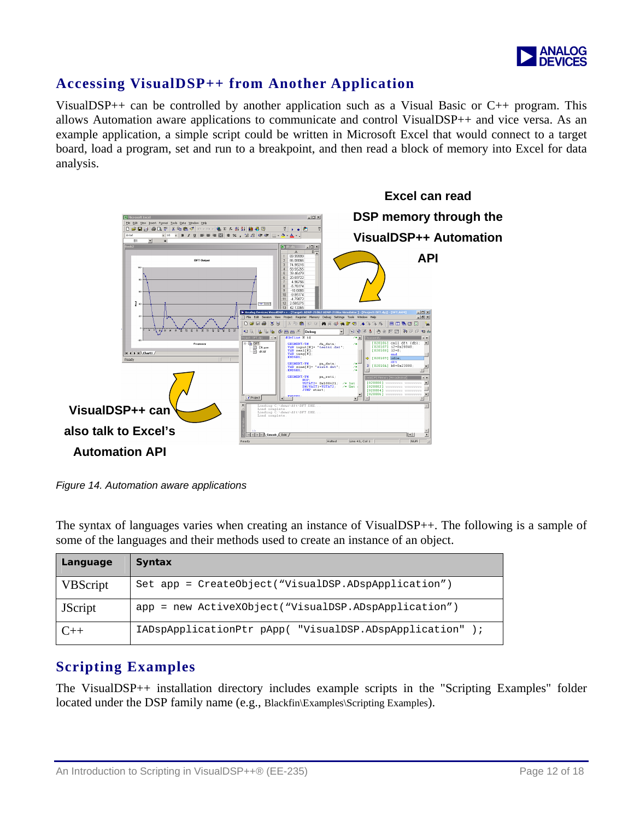

#### **Accessing VisualDSP++ from Another Application**

VisualDSP++ can be controlled by another application such as a Visual Basic or  $C_{++}$  program. This allows Automation aware applications to communicate and control VisualDSP++ and vice versa. As an example application, a simple script could be written in Microsoft Excel that would connect to a target board, load a program, set and run to a breakpoint, and then read a block of memory into Excel for data analysis.



*Figure 14. Automation aware applications* 

The syntax of languages varies when creating an instance of VisualDSP++. The following is a sample of some of the languages and their methods used to create an instance of an object.

| Language        | <b>Syntax</b>                                            |
|-----------------|----------------------------------------------------------|
| <b>VBScript</b> | Set app = CreateObject("VisualDSP.ADspApplication")      |
| <b>JScript</b>  | app = new ActiveXObject("VisualDSP.ADspApplication")     |
|                 | IADspApplicationPtr pApp( "VisualDSP.ADspApplication" ); |

#### **Scripting Examples**

The VisualDSP++ installation directory includes example scripts in the "Scripting Examples" folder located under the DSP family name (e.g., Blackfin\Examples\Scripting Examples).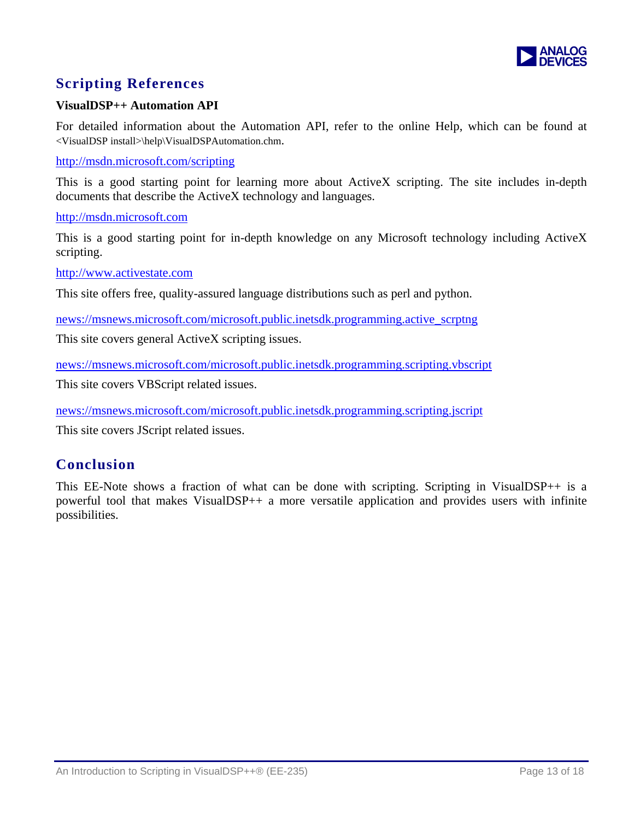

## **Scripting References**

#### **VisualDSP++ Automation API**

For detailed information about the Automation API, refer to the online Help, which can be found at <VisualDSP install>\help\VisualDSPAutomation.chm.

<http://msdn.microsoft.com/scripting>

This is a good starting point for learning more about ActiveX scripting. The site includes in-depth documents that describe the ActiveX technology and languages.

[http://msdn.microsoft.com](http://msdn.microsoft.com/)

This is a good starting point for in-depth knowledge on any Microsoft technology including ActiveX scripting.

[http://www.activestate.com](http://www.activestate.com/)

This site offers free, quality-assured language distributions such as perl and python.

[news://msnews.microsoft.com/microsoft.public.inetsdk.programming.active\\_scrptng](news://msnews.microsoft.com/microsoft.public.inetsdk.programming.active_scrptng)

This site covers general ActiveX scripting issues.

<news://msnews.microsoft.com/microsoft.public.inetsdk.programming.scripting.vbscript>

This site covers VBScript related issues.

<news://msnews.microsoft.com/microsoft.public.inetsdk.programming.scripting.jscript>

This site covers JScript related issues.

#### **Conclusion**

This EE-Note shows a fraction of what can be done with scripting. Scripting in VisualDSP++ is a powerful tool that makes VisualDSP++ a more versatile application and provides users with infinite possibilities.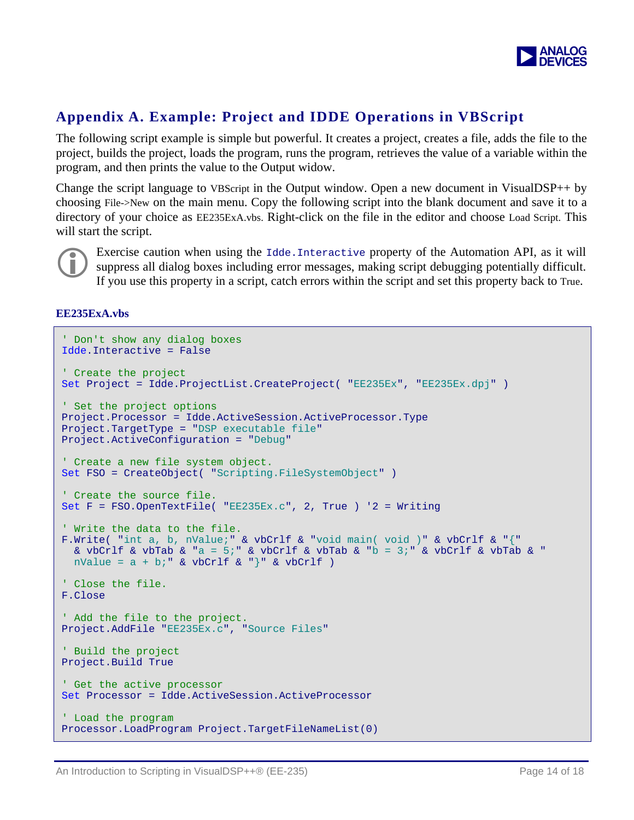

#### **Appendix A. Example: Project and IDDE Operations in VBScript**

The following script example is simple but powerful. It creates a project, creates a file, adds the file to the project, builds the project, loads the program, runs the program, retrieves the value of a variable within the program, and then prints the value to the Output widow.

Change the script language to VBScript in the Output window. Open a new document in VisualDSP++ by choosing File->New on the main menu. Copy the following script into the blank document and save it to a directory of your choice as EE235ExA.vbs. Right-click on the file in the editor and choose Load Script. This will start the script.



Exercise caution when using the Idde.Interactive property of the Automation API, as it will suppress all dialog boxes including error messages, making script debugging potentially difficult. If you use this property in a script, catch errors within the script and set this property back to True.

#### **EE235ExA.vbs**

```
' Don't show any dialog boxes 
Idde.Interactive = False 
' Create the project 
Set Project = Idde.ProjectList.CreateProject( "EE235Ex", "EE235Ex.dpj" ) 
' Set the project options 
Project.Processor = Idde.ActiveSession.ActiveProcessor.Type 
Project.TargetType = "DSP executable file" 
Project.ActiveConfiguration = "Debug" 
' Create a new file system object. 
Set FSO = CreateObject( "Scripting.FileSystemObject" ) 
' Create the source file. 
Set F = FSO.OpenTextFile( "EE235Ex.c", 2, True ) '2 = Writing 
' Write the data to the file. 
F.Write( "int a, b, nValue;" & vbCrlf & "void main( void )" & vbCrlf & "{" 
  & vbCrlf & vbTab & "a = 5;" & vbCrlf & vbTab & "b = 3;" & vbCrlf & vbTab & "
 nValue = a + bi" & vbCrlf & "}" & vbCrlf )
' Close the file. 
F.Close 
' Add the file to the project. 
Project.AddFile "EE235Ex.c", "Source Files"
' Build the project 
Project.Build True 
' Get the active processor 
Set Processor = Idde.ActiveSession.ActiveProcessor 
' Load the program 
Processor.LoadProgram Project.TargetFileNameList(0)
```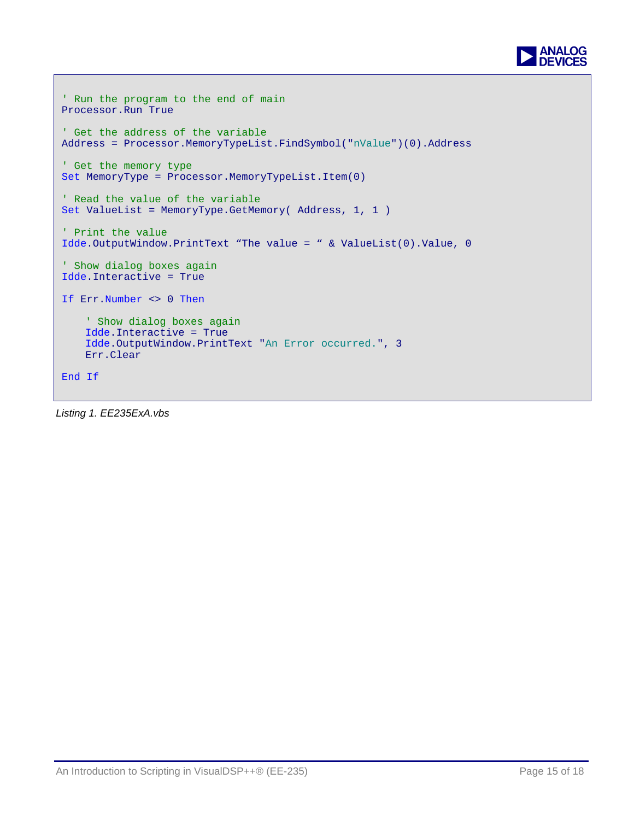

```
' Run the program to the end of main 
Processor.Run True 
' Get the address of the variable 
Address = Processor.MemoryTypeList.FindSymbol("nValue")(0).Address 
' Get the memory type 
Set MemoryType = Processor.MemoryTypeList.Item(0) 
' Read the value of the variable 
Set ValueList = MemoryType.GetMemory( Address, 1, 1 ) 
' Print the value 
Idde.OutputWindow.PrintText "The value = " & ValueList(0).Value, 0 
' Show dialog boxes again 
Idde.Interactive = True 
If Err.Number <> 0 Then
    ' Show dialog boxes again 
     Idde.Interactive = True 
     Idde.OutputWindow.PrintText "An Error occurred.", 3 
     Err.Clear 
End If
```
*Listing 1. EE235ExA.vbs*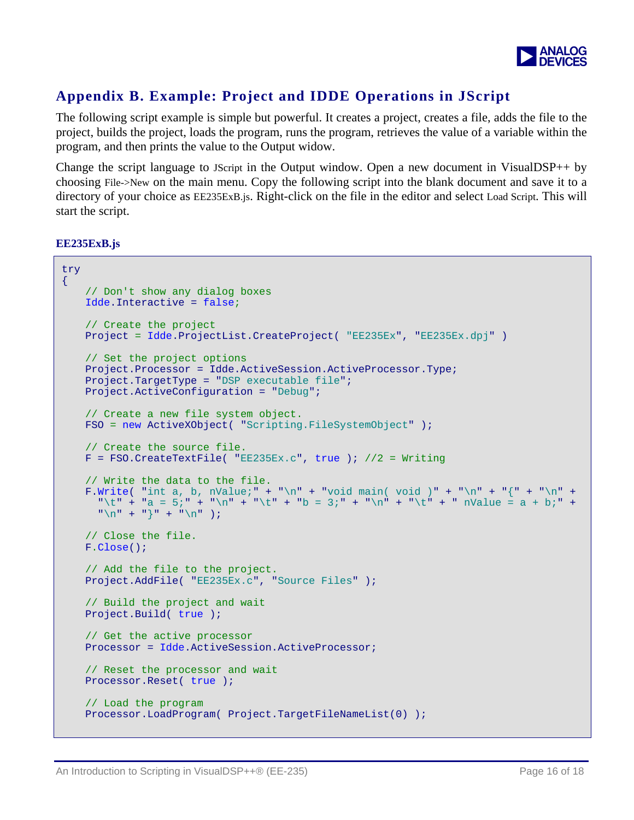

## **Appendix B. Example: Project and IDDE Operations in JScript**

The following script example is simple but powerful. It creates a project, creates a file, adds the file to the project, builds the project, loads the program, runs the program, retrieves the value of a variable within the program, and then prints the value to the Output widow.

Change the script language to JScript in the Output window. Open a new document in VisualDSP $++$  by choosing File->New on the main menu. Copy the following script into the blank document and save it to a directory of your choice as EE235ExB.js. Right-click on the file in the editor and select Load Script. This will start the script.

**EE235ExB.js** 

```
try 
\left\{ \right.// Don't show any dialog boxes
   Idde.Interactive = false; 
   // Create the project 
   Project = Idde.ProjectList.CreateProject( "EE235Ex", "EE235Ex.dpj" )
   // Set the project options 
   Project.Processor = Idde.ActiveSession.ActiveProcessor.Type; 
   Project.TargetType = "DSP executable file";
   Project.ActiveConfiguration = "Debug";
   // Create a new file system object.
   FSO = new ActiveXObject( "Scripting.FileSystemObject" );
   // Create the source file. 
   F = FSO.CreatestFile('EE235Ex.c', true); //2 = Writing
   // Write the data to the file. 
   F.Write( "int a, b, nValue;" + "\n" + "void main( void )" + "\n" + "{" + "\n" +
      "\t" + "a = 5;" + "\n" + "\t" + "\b = 3;" + "\n" + "\t" + "\t" + " Nalue = a + b;" +"\n\ln" + "\n" + "\n");
   // Close the file. 
   F.Close();
   // Add the file to the project. 
   Project.AddFile( "EE235Ex.c", "Source Files" );
   // Build the project and wait 
   Project.Build( true );
   // Get the active processor 
   Processor = Idde.ActiveSession.ActiveProcessor;
   // Reset the processor and wait 
   Processor.Reset( true );
   // Load the program 
   Processor.LoadProgram( Project.TargetFileNameList(0) );
```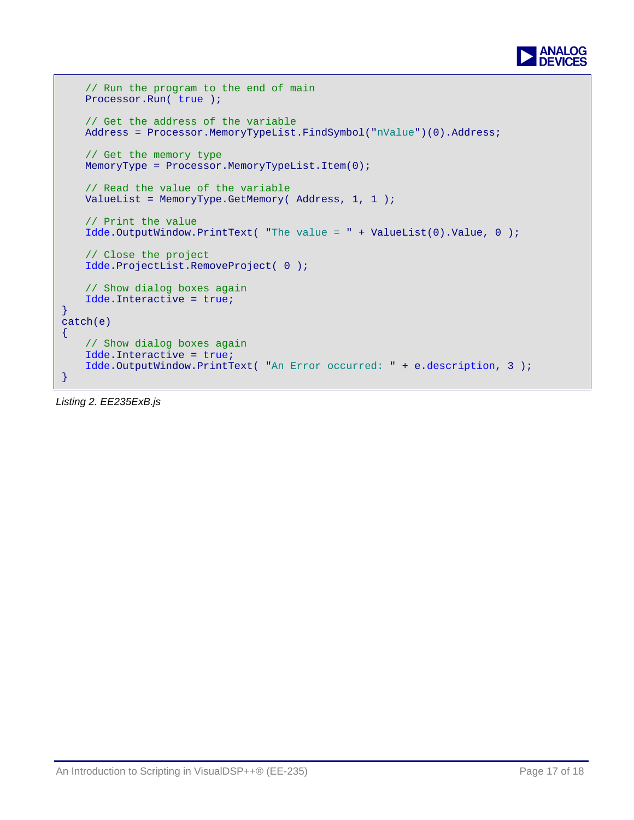

```
// Run the program to the end of main 
   Processor.Run( true );
    // Get the address of the variable 
   Address = Processor.MemoryTypeList.FindSymbol("nValue")(0).Address;
   // Get the memory type 
   MemoryType = Processor.MemoryTypeList.Item(0); 
   // Read the value of the variable 
   ValueList = MemoryType.GetMemory( Address, 1, 1 ); 
   // Print the value 
   Idde.OutputWindow.PrintText( "The value = " + ValueList(0).Value, 0 );
   // Close the project 
   Idde.ProjectList.RemoveProject( 0 ); 
   // Show dialog boxes again 
   Idde.Interactive = true;
} 
catch(e) 
\mathcal{A}// Show dialog boxes again 
   Idde.Interactive = true;
   Idde.OutputWindow.PrintText( "An Error occurred: " + e.description, 3 );
}
```
*Listing 2. EE235ExB.js*